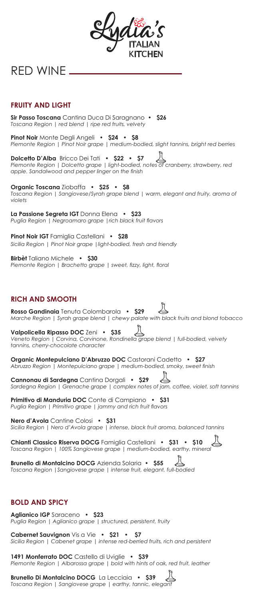| ydia's<br><b>KITCHEN</b>                                                                                                                                                                         |
|--------------------------------------------------------------------------------------------------------------------------------------------------------------------------------------------------|
|                                                                                                                                                                                                  |
| RED WINE __                                                                                                                                                                                      |
|                                                                                                                                                                                                  |
|                                                                                                                                                                                                  |
| <b>FRUITY AND LIGHT</b>                                                                                                                                                                          |
| Sir Passo Toscana Cantina Duca Di Saragnano • \$26<br>Toscana Region   red blend   ripe red fruits, velvety                                                                                      |
| <b>Pinot Noir</b> Monte Degli Angeli • \$24 • \$8<br>Piemonte Region   Pinot Noir grape   medium-bodied, slight tannins, bright red berries                                                      |
| <b>Dolcetto D'Alba</b> Bricco Dei Tati • \$22 • \$7<br>Piemonte Region   Dolcetto grape   light-bodied, notes of cranberry, strawberry, red<br>apple. Sandalwood and pepper linger on the finish |
| <b>Organic Toscana</b> Ziobaffa • \$25 • \$8<br>Toscana Region   Sangiovese/Syrah grape blend   warm, elegant and fruity, aroma of<br>violets                                                    |
| $\mathcal{L}$ Complete ICT Donna Flonge $\mathcal{L}$<br>تمتموه الما                                                                                                                             |

**La Passione Segreta IGT** Donna Elena **• \$23**  *Puglia Region | Negroamaro grape |rich black fruit flavors*

**Pinot Noir IGT** Famiglia Castellani **• \$28** *Sicilia Region | Pinot Noir grape |light-bodied, fresh and friendly*

**Birbèt** Taliano Michele **• \$30** *Piemonte Region | Brachetto grape | sweet, fizzy, light, floral*

# **RICH AND SMOOTH**

**Rosso Gandinaia** Tenuta Colombarola **• \$29**  *Marche Region | Syrah grape blend | chewy palate with black fruits and blond tobacco*

**Valpolicella Ripasso DOC** Zeni **• \$35** *Veneto Region | Corvina, Corvinone, Rondinella grape blend | full-bodied, velvety tannins, cherry-chocolate character*

**Organic Montepulciano D'Abruzzo DOC** Castorani Cadetto **• \$27** *Abruzzo Region | Montepulciano grape | medium-bodied, smoky, sweet finish*

 $\begin{picture}(20,5) \put(0,0) {\line(1,0){10}} \put(15,0) {\line(1,0){10}} \put(15,0) {\line(1,0){10}} \put(15,0) {\line(1,0){10}} \put(15,0) {\line(1,0){10}} \put(15,0) {\line(1,0){10}} \put(15,0) {\line(1,0){10}} \put(15,0) {\line(1,0){10}} \put(15,0) {\line(1,0){10}} \put(15,0) {\line(1,0){10}} \put(15,0) {\line(1,0){10}} \put(15,0) {\line(1,$ **Cannonau di Sardegna** Cantina Dorgali **• \$29** *Sardegna Region | Grenache grape | complex notes of jam, coffee, violet, soft tannins*

**Primitivo di Manduria DOC** Conte di Campiano **• \$31** *Puglia Region | Primitivo grape | jammy and rich fruit flavors*

**Nero d'Avola** Cantine Colosi **• \$31** *Sicilia Region | Nero d'Avola grape | intense, black fruit aroma, balanced tannins*

**Chianti Classico Riserva DOCG** Famiglia Castellani **• \$31 • \$10** *Toscana Region | 100% Sangiovese grape | medium-bodied, earthy, mineral*

**Brunello di Montalcino DOCG** Azienda Solaria **• \$55** *Toscana Region |Sangiovese grape | intense fruit, elegant, full-bodied*

# **BOLD AND SPICY**

**Aglianico IGP** Saraceno **• \$23** *Puglia Region | Aglianico grape | structured, persistent, fruity*

**Cabernet Sauvignon** Vis a Vie **• \$21 • \$7** *Sicilia Region | Cabenet grape | intense red-berried fruits, rich and persistent*

**1491 Monferrato DOC** Castello di Uviglie **• \$39** *Piemonte Region | Albarossa grape | bold with hints of oak, red fruit, leather*

**Brunello Di Montalcino DOCG** La Lecciaia **• \$39** *Toscana Region | Sangiovese grape | earthy, tannic, elegant*